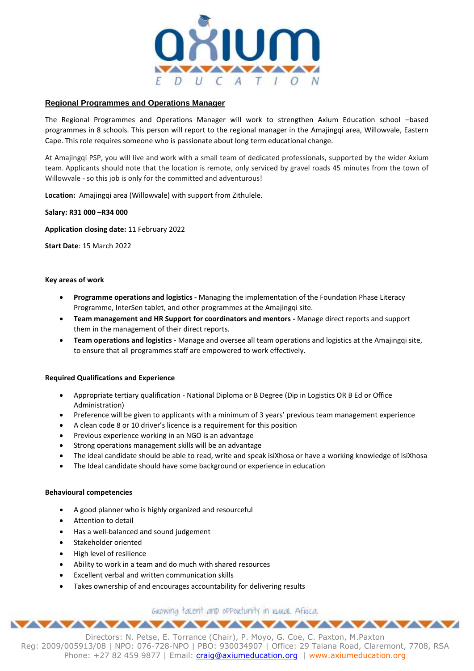

# **Regional Programmes and Operations Manager**

The Regional Programmes and Operations Manager will work to strengthen Axium Education school –based programmes in 8 schools. This person will report to the regional manager in the Amajingqi area, Willowvale, Eastern Cape. This role requires someone who is passionate about long term educational change.

At Amajingqi PSP, you will live and work with a small team of dedicated professionals, supported by the wider Axium team. Applicants should note that the location is remote, only serviced by gravel roads 45 minutes from the town of Willowvale - so this job is only for the committed and adventurous!

**Location:** Amajingqi area (Willowvale) with support from Zithulele.

## **Salary: R31 000 –R34 000**

**Application closing date:** 11 February 2022

**Start Date**: 15 March 2022

### **Key areas of work**

- **Programme operations and logistics -** Managing the implementation of the Foundation Phase Literacy Programme, InterSen tablet, and other programmes at the Amajingqi site.
- **Team management and HR Support for coordinators and mentors -** Manage direct reports and support them in the management of their direct reports.
- **Team operations and logistics -** Manage and oversee all team operations and logistics at the Amajingqi site, to ensure that all programmes staff are empowered to work effectively.

## **Required Qualifications and Experience**

- Appropriate tertiary qualification National Diploma or B Degree (Dip in Logistics OR B Ed or Office Administration)
- Preference will be given to applicants with a minimum of 3 years' previous team management experience
- A clean code 8 or 10 driver's licence is a requirement for this position
- Previous experience working in an NGO is an advantage
- Strong operations management skills will be an advantage
- The ideal candidate should be able to read, write and speak isiXhosa or have a working knowledge of isiXhosa
- The Ideal candidate should have some background or experience in education

### **Behavioural competencies**

- A good planner who is highly organized and resourceful
- Attention to detail
- Has a well-balanced and sound judgement
- Stakeholder oriented
- High level of resilience
- Ability to work in a team and do much with shared resources
- Excellent verbal and written communication skills
- Takes ownership of and encourages accountability for delivering results

GROWING talent and opportunity in RURAL Africa. <u> WAAAAAAAAAAAAAAAAAA</u>

Directors: N. Petse, E. Torrance (Chair), P. Moyo, G. Coe, C. Paxton, M.Paxton Reg: 2009/005913/08 | NPO: 076-728-NPO | PBO: 930034907 | Office: 29 Talana Road, Claremont, 7708, RSA Phone: +27 82 459 9877 | Email: [craig@axiumeducation.org](mailto:craig@axiumeducation.org) | www.axiumeducation.org